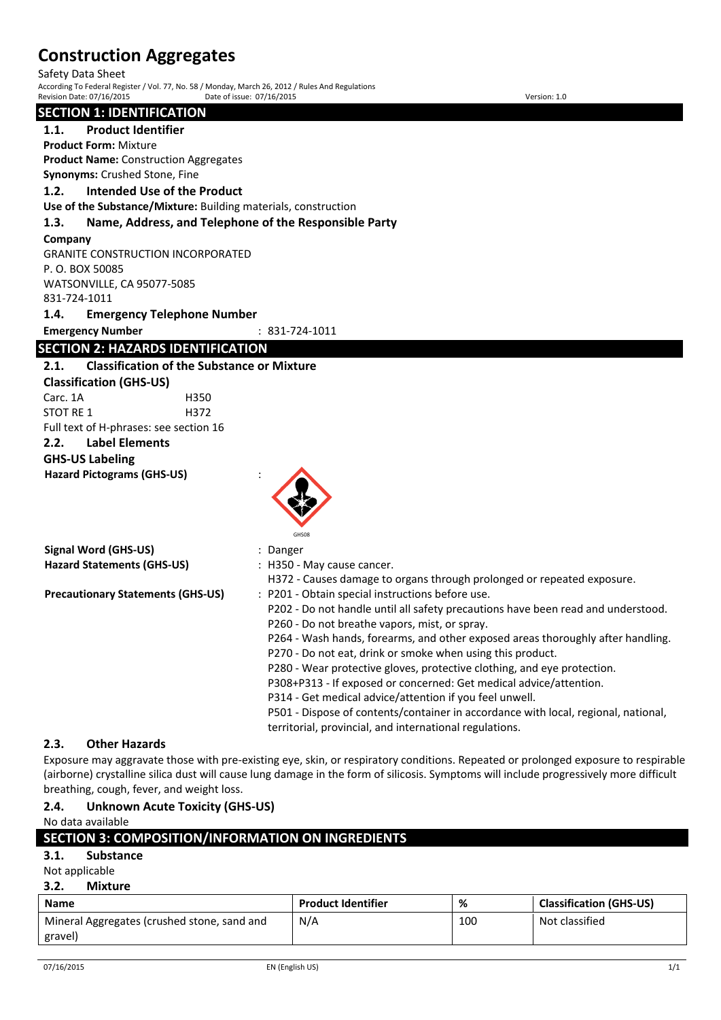Safety Data Sheet

According To Federal Register / Vol. 77, No. 58 / Monday, March 26, 2012 / Rules And Regulations Revision Date: 07/16/2015 Date of issue: 07/16/2015 Version: 1.0

### **SECTION 1: IDENTIFICATION**

**1.1. Product Identifier**

**Product Form:** Mixture **Product Name:** Construction Aggregates

**Synonyms:** Crushed Stone, Fine

### **1.2. Intended Use of the Product**

**Use of the Substance/Mixture:** Building materials, construction

### **1.3. Name, Address, and Telephone of the Responsible Party**

#### **Company**

GRANITE CONSTRUCTION INCORPORATED P. O. BOX 50085 WATSONVILLE, CA 95077-5085 831-724-1011

**1.4. Emergency Telephone Number**

**Emergency Number** : 831-724-1011

# **SECTION 2: HAZARDS IDENTIFICATION**

### **2.1. Classification of the Substance or Mixture**

**Classification (GHS-US)** Carc. 1A H350 STOT RF 1 H372

Full text of H-phrases: see section 16 **2.2. Label Elements**

# **GHS-US Labeling**

**Hazard Pictograms (GHS-US)** :



GHS08

| <b>Signal Word (GHS-US)</b>              | : Danger                                                                           |
|------------------------------------------|------------------------------------------------------------------------------------|
| <b>Hazard Statements (GHS-US)</b>        | : H350 - May cause cancer.                                                         |
|                                          | H372 - Causes damage to organs through prolonged or repeated exposure.             |
| <b>Precautionary Statements (GHS-US)</b> | : P201 - Obtain special instructions before use.                                   |
|                                          | P202 - Do not handle until all safety precautions have been read and understood.   |
|                                          | P260 - Do not breathe vapors, mist, or spray.                                      |
|                                          | P264 - Wash hands, forearms, and other exposed areas thoroughly after handling.    |
|                                          | P270 - Do not eat, drink or smoke when using this product.                         |
|                                          | P280 - Wear protective gloves, protective clothing, and eye protection.            |
|                                          | P308+P313 - If exposed or concerned: Get medical advice/attention.                 |
|                                          | P314 - Get medical advice/attention if you feel unwell.                            |
|                                          | P501 - Dispose of contents/container in accordance with local, regional, national, |

territorial, provincial, and international regulations.

#### **2.3. Other Hazards**

Exposure may aggravate those with pre-existing eye, skin, or respiratory conditions. Repeated or prolonged exposure to respirable (airborne) crystalline silica dust will cause lung damage in the form of silicosis. Symptoms will include progressively more difficult breathing, cough, fever, and weight loss.

# **2.4. Unknown Acute Toxicity (GHS-US)**

No data available

|      | SECTION 3: COMPOSITION/INFORMATION ON INGREDIENTS |                           |          |                          |
|------|---------------------------------------------------|---------------------------|----------|--------------------------|
| 3.1. | <b>Substance</b>                                  |                           |          |                          |
|      | Not applicable                                    |                           |          |                          |
| 3.2. | Mixture                                           |                           |          |                          |
| Name |                                                   | <b>Droduct Identifier</b> | $\alpha$ | Classification (GHS-LIS) |

| <b>Name</b>                                 | <b>Product Identifier</b> | %   | <b>Classification (GHS-US)</b> |
|---------------------------------------------|---------------------------|-----|--------------------------------|
| Mineral Aggregates (crushed stone, sand and | N/A                       | 100 | Not classified                 |
| gravel)                                     |                           |     |                                |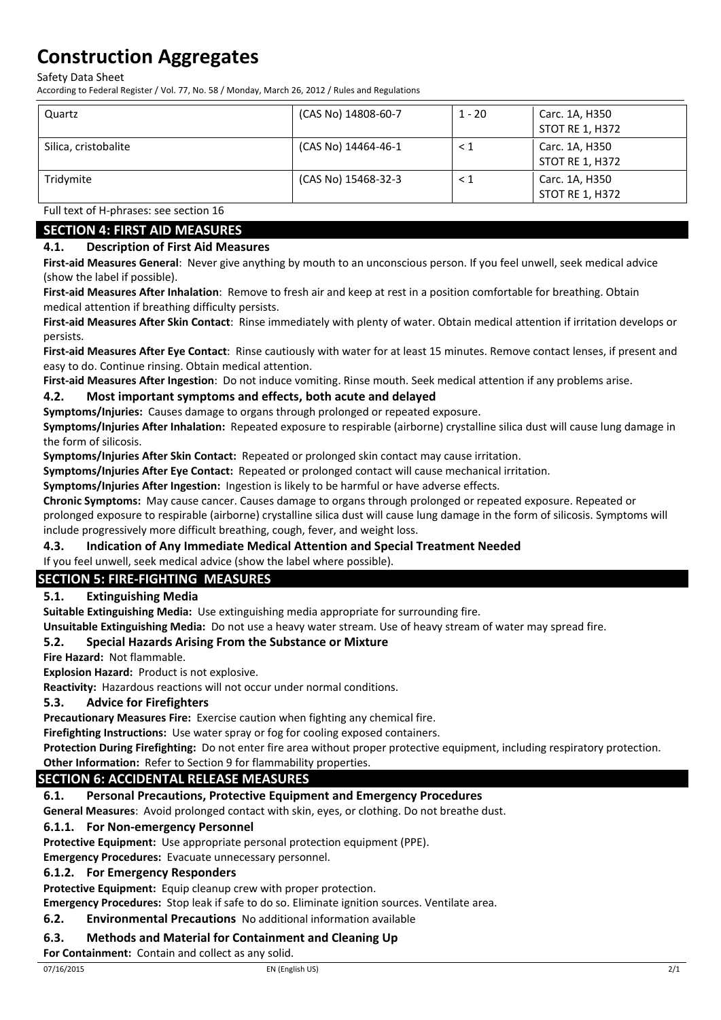Safety Data Sheet

According to Federal Register / Vol. 77, No. 58 / Monday, March 26, 2012 / Rules and Regulations

| Quartz               | (CAS No) 14808-60-7 | $1 - 20$ | Carc. 1A, H350<br><b>STOT RE 1, H372</b> |
|----------------------|---------------------|----------|------------------------------------------|
| Silica, cristobalite | (CAS No) 14464-46-1 | $\leq 1$ | Carc. 1A, H350<br>STOT RE 1, H372        |
| Tridymite            | (CAS No) 15468-32-3 | $\leq 1$ | Carc. 1A, H350<br><b>STOT RE 1, H372</b> |

Full text of H-phrases: see section 16

# **SECTION 4: FIRST AID MEASURES**

### **4.1. Description of First Aid Measures**

**First-aid Measures General**: Never give anything by mouth to an unconscious person. If you feel unwell, seek medical advice (show the label if possible).

**First-aid Measures After Inhalation**: Remove to fresh air and keep at rest in a position comfortable for breathing. Obtain medical attention if breathing difficulty persists.

**First-aid Measures After Skin Contact**: Rinse immediately with plenty of water. Obtain medical attention if irritation develops or persists.

**First-aid Measures After Eye Contact**: Rinse cautiously with water for at least 15 minutes. Remove contact lenses, if present and easy to do. Continue rinsing. Obtain medical attention.

**First-aid Measures After Ingestion**: Do not induce vomiting. Rinse mouth. Seek medical attention if any problems arise.

### **4.2. Most important symptoms and effects, both acute and delayed**

**Symptoms/Injuries:** Causes damage to organs through prolonged or repeated exposure.

**Symptoms/Injuries After Inhalation:** Repeated exposure to respirable (airborne) crystalline silica dust will cause lung damage in the form of silicosis.

**Symptoms/Injuries After Skin Contact:** Repeated or prolonged skin contact may cause irritation.

**Symptoms/Injuries After Eye Contact:** Repeated or prolonged contact will cause mechanical irritation.

**Symptoms/Injuries After Ingestion:** Ingestion is likely to be harmful or have adverse effects.

**Chronic Symptoms:** May cause cancer. Causes damage to organs through prolonged or repeated exposure. Repeated or prolonged exposure to respirable (airborne) crystalline silica dust will cause lung damage in the form of silicosis. Symptoms will include progressively more difficult breathing, cough, fever, and weight loss.

#### **4.3. Indication of Any Immediate Medical Attention and Special Treatment Needed**

If you feel unwell, seek medical advice (show the label where possible).

# **SECTION 5: FIRE-FIGHTING MEASURES**

#### **5.1. Extinguishing Media**

**Suitable Extinguishing Media:** Use extinguishing media appropriate for surrounding fire.

**Unsuitable Extinguishing Media:** Do not use a heavy water stream. Use of heavy stream of water may spread fire.

#### **5.2. Special Hazards Arising From the Substance or Mixture**

**Fire Hazard:** Not flammable.

**Explosion Hazard:** Product is not explosive.

**Reactivity:** Hazardous reactions will not occur under normal conditions.

#### **5.3. Advice for Firefighters**

**Precautionary Measures Fire:** Exercise caution when fighting any chemical fire.

**Firefighting Instructions:** Use water spray or fog for cooling exposed containers.

**Protection During Firefighting:** Do not enter fire area without proper protective equipment, including respiratory protection.

# **Other Information:** Refer to Section 9 for flammability properties.

# **SECTION 6: ACCIDENTAL RELEASE MEASURES**

**6.1. Personal Precautions, Protective Equipment and Emergency Procedures**

**General Measures**: Avoid prolonged contact with skin, eyes, or clothing. Do not breathe dust.

#### **6.1.1. For Non-emergency Personnel**

**Protective Equipment:** Use appropriate personal protection equipment (PPE).

**Emergency Procedures:** Evacuate unnecessary personnel.

#### **6.1.2. For Emergency Responders**

**Protective Equipment:** Equip cleanup crew with proper protection.

**Emergency Procedures:** Stop leak if safe to do so. Eliminate ignition sources. Ventilate area.

#### **6.2. Environmental Precautions** No additional information available

### **6.3. Methods and Material for Containment and Cleaning Up**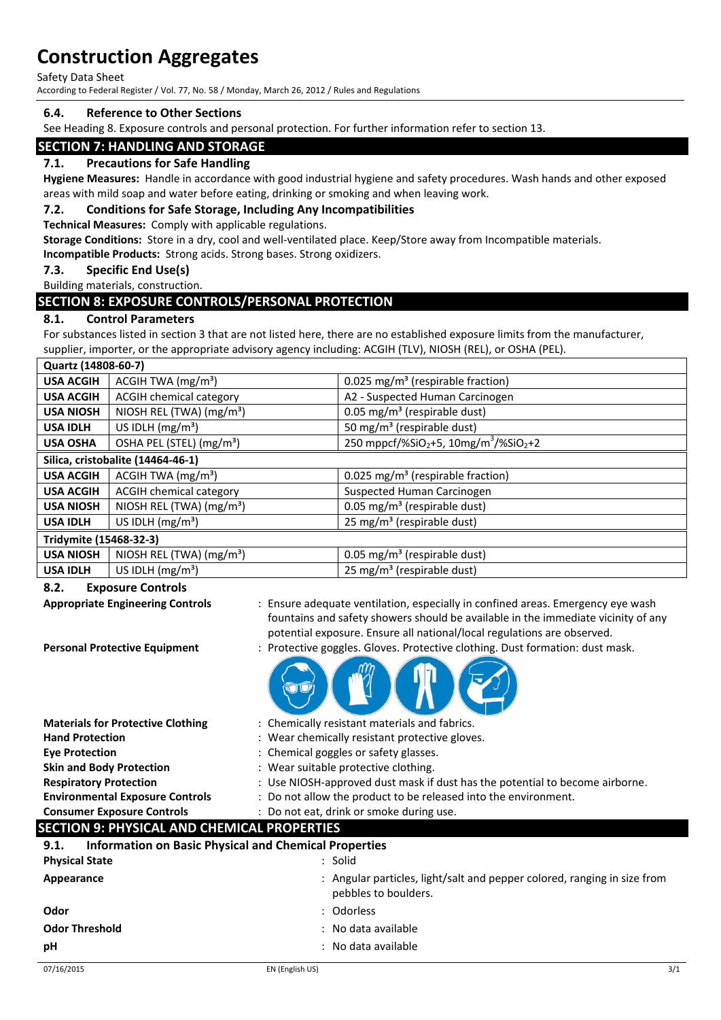Safety Data Sheet

According to Federal Register / Vol. 77, No. 58 / Monday, March 26, 2012 / Rules and Regulations

#### **6.4. Reference to Other Sections**

See Heading 8. Exposure controls and personal protection. For further information refer to section 13.

# **SECTION 7: HANDLING AND STORAGE**

#### **7.1. Precautions for Safe Handling**

**Hygiene Measures:** Handle in accordance with good industrial hygiene and safety procedures. Wash hands and other exposed areas with mild soap and water before eating, drinking or smoking and when leaving work.

#### **7.2. Conditions for Safe Storage, Including Any Incompatibilities**

**Technical Measures:** Comply with applicable regulations.

**Storage Conditions:** Store in a dry, cool and well-ventilated place. Keep/Store away from Incompatible materials.

**Incompatible Products:** Strong acids. Strong bases. Strong oxidizers.

#### **7.3. Specific End Use(s)**

Building materials, construction.

### **SECTION 8: EXPOSURE CONTROLS/PERSONAL PROTECTION**

#### **8.1. Control Parameters**

For substances listed in section 3 that are not listed here, there are no established exposure limits from the manufacturer, supplier, importer, or the appropriate advisory agency including: ACGIH (TLV), NIOSH (REL), or OSHA (PEL).

| Quartz (14808-60-7)               |                                      |                                                                           |
|-----------------------------------|--------------------------------------|---------------------------------------------------------------------------|
| <b>USA ACGIH</b>                  | ACGIH TWA $(mg/m3)$                  | 0.025 mg/m <sup>3</sup> (respirable fraction)                             |
| <b>USA ACGIH</b>                  | <b>ACGIH chemical category</b>       | A2 - Suspected Human Carcinogen                                           |
| <b>USA NIOSH</b>                  | NIOSH REL (TWA) $(mg/m3)$            | 0.05 mg/m <sup>3</sup> (respirable dust)                                  |
| <b>USA IDLH</b>                   | US IDLH $(mg/m3)$                    | 50 mg/m <sup>3</sup> (respirable dust)                                    |
| <b>USA OSHA</b>                   | OSHA PEL (STEL) (mg/m <sup>3</sup> ) | 250 mppcf/%SiO <sub>2</sub> +5, 10mg/m <sup>3</sup> /%SiO <sub>2</sub> +2 |
| Silica, cristobalite (14464-46-1) |                                      |                                                                           |
| <b>USA ACGIH</b>                  | ACGIH TWA $(mg/m3)$                  | 0.025 mg/m <sup>3</sup> (respirable fraction)                             |
| <b>USA ACGIH</b>                  | <b>ACGIH chemical category</b>       | Suspected Human Carcinogen                                                |
| <b>USA NIOSH</b>                  | NIOSH REL (TWA) (mg/m <sup>3</sup> ) | 0.05 mg/m <sup>3</sup> (respirable dust)                                  |
| <b>USA IDLH</b>                   | US IDLH $(mg/m3)$                    | 25 mg/m <sup>3</sup> (respirable dust)                                    |
| Tridymite (15468-32-3)            |                                      |                                                                           |
| <b>USA NIOSH</b>                  | NIOSH REL (TWA) (mg/m <sup>3</sup> ) | 0.05 mg/m <sup>3</sup> (respirable dust)                                  |
| <b>USA IDLH</b>                   | US IDLH $(mg/m3)$                    | 25 mg/m <sup>3</sup> (respirable dust)                                    |
|                                   |                                      |                                                                           |

#### **8.2. Exposure Controls**

| <b>Appropriate Engineering Controls</b>                              | : Ensure adequate ventilation, especially in confined areas. Emergency eye wash<br>fountains and safety showers should be available in the immediate vicinity of any |
|----------------------------------------------------------------------|----------------------------------------------------------------------------------------------------------------------------------------------------------------------|
|                                                                      | potential exposure. Ensure all national/local regulations are observed.                                                                                              |
| <b>Personal Protective Equipment</b>                                 | : Protective goggles. Gloves. Protective clothing. Dust formation: dust mask.                                                                                        |
|                                                                      |                                                                                                                                                                      |
| <b>Materials for Protective Clothing</b>                             | : Chemically resistant materials and fabrics.                                                                                                                        |
| <b>Hand Protection</b>                                               | : Wear chemically resistant protective gloves.                                                                                                                       |
| <b>Eye Protection</b>                                                | : Chemical goggles or safety glasses.                                                                                                                                |
| <b>Skin and Body Protection</b>                                      | : Wear suitable protective clothing.                                                                                                                                 |
| <b>Respiratory Protection</b>                                        | : Use NIOSH-approved dust mask if dust has the potential to become airborne.                                                                                         |
| <b>Environmental Exposure Controls</b>                               | : Do not allow the product to be released into the environment.                                                                                                      |
| <b>Consumer Exposure Controls</b>                                    | : Do not eat, drink or smoke during use.                                                                                                                             |
| <b>SECTION 9: PHYSICAL AND CHEMICAL PROPERTIES</b>                   |                                                                                                                                                                      |
| <b>Information on Basic Physical and Chemical Properties</b><br>9.1. |                                                                                                                                                                      |
| <b>Physical State</b>                                                | : Solid                                                                                                                                                              |
| Appearance                                                           | : Angular particles, light/salt and pepper colored, ranging in size from<br>pebbles to boulders.                                                                     |
| Odor                                                                 | : Odorless                                                                                                                                                           |
| <b>Odor Threshold</b>                                                | No data available                                                                                                                                                    |
| pH                                                                   | No data available                                                                                                                                                    |
|                                                                      |                                                                                                                                                                      |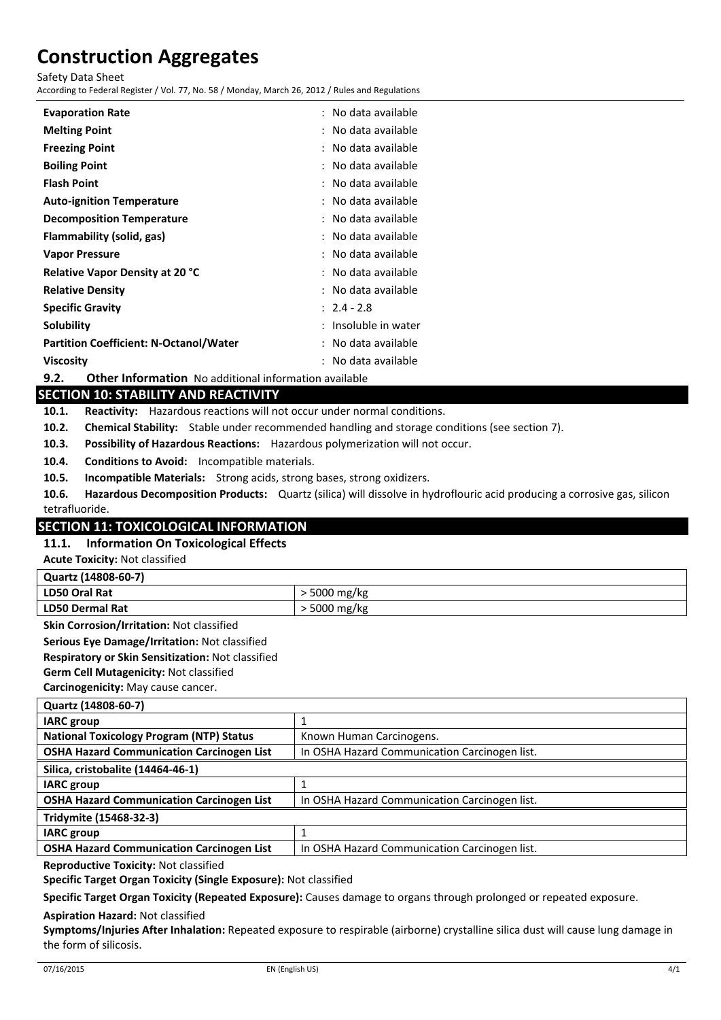Safety Data Sheet

According to Federal Register / Vol. 77, No. 58 / Monday, March 26, 2012 / Rules and Regulations

| <b>Evaporation Rate</b>                       | No data available  |
|-----------------------------------------------|--------------------|
| <b>Melting Point</b>                          | No data available  |
| <b>Freezing Point</b>                         | No data available  |
| <b>Boiling Point</b>                          | No data available  |
| <b>Flash Point</b>                            | No data available  |
| <b>Auto-ignition Temperature</b>              | No data available  |
| <b>Decomposition Temperature</b>              | No data available  |
| Flammability (solid, gas)                     | No data available  |
| <b>Vapor Pressure</b>                         | No data available  |
| <b>Relative Vapor Density at 20 °C</b>        | No data available  |
| <b>Relative Density</b>                       | No data available  |
| <b>Specific Gravity</b>                       | $: 2.4 - 2.8$      |
| Solubility                                    | Insoluble in water |
| <b>Partition Coefficient: N-Octanol/Water</b> | No data available  |
| Viscosity                                     | No data available  |

**9.2. Other Information** No additional information available

# **SECTION 10: STABILITY AND REACTIVITY**

**10.1. Reactivity:** Hazardous reactions will not occur under normal conditions.

- **10.2. Chemical Stability:** Stable under recommended handling and storage conditions (see section 7).
- **10.3. Possibility of Hazardous Reactions:** Hazardous polymerization will not occur.
- **10.4. Conditions to Avoid:** Incompatible materials.
- **10.5. Incompatible Materials:** Strong acids, strong bases, strong oxidizers.
- **10.6. Hazardous Decomposition Products:** Quartz (silica) will dissolve in hydroflouric acid producing a corrosive gas, silicon tetrafluoride.

# **SECTION 11: TOXICOLOGICAL INFORMATION**

#### **11.1. Information On Toxicological Effects**

**Acute Toxicity:** Not classified

| Quartz (14808-60-7)    |                    |  |
|------------------------|--------------------|--|
| LD50 Oral Rat          | $\cdot$ 5000 mg/kg |  |
| <b>LD50 Dermal Rat</b> | ∙ 5000 mg/kg       |  |

**Skin Corrosion/Irritation:** Not classified

**Serious Eye Damage/Irritation:** Not classified

**Respiratory or Skin Sensitization:** Not classified

**Germ Cell Mutagenicity:** Not classified

**Carcinogenicity:** May cause cancer.

| Quartz (14808-60-7)                              |                                               |  |
|--------------------------------------------------|-----------------------------------------------|--|
| <b>IARC</b> group                                |                                               |  |
| <b>National Toxicology Program (NTP) Status</b>  | Known Human Carcinogens.                      |  |
| <b>OSHA Hazard Communication Carcinogen List</b> | In OSHA Hazard Communication Carcinogen list. |  |
| Silica, cristobalite (14464-46-1)                |                                               |  |
| <b>IARC</b> group                                |                                               |  |
| <b>OSHA Hazard Communication Carcinogen List</b> | In OSHA Hazard Communication Carcinogen list. |  |
| Tridymite (15468-32-3)                           |                                               |  |
| <b>IARC</b> group                                |                                               |  |
| <b>OSHA Hazard Communication Carcinogen List</b> | In OSHA Hazard Communication Carcinogen list. |  |
|                                                  |                                               |  |

**Reproductive Toxicity:** Not classified

**Specific Target Organ Toxicity (Single Exposure):** Not classified

**Specific Target Organ Toxicity (Repeated Exposure):** Causes damage to organs through prolonged or repeated exposure.

#### **Aspiration Hazard:** Not classified

**Symptoms/Injuries After Inhalation:** Repeated exposure to respirable (airborne) crystalline silica dust will cause lung damage in the form of silicosis.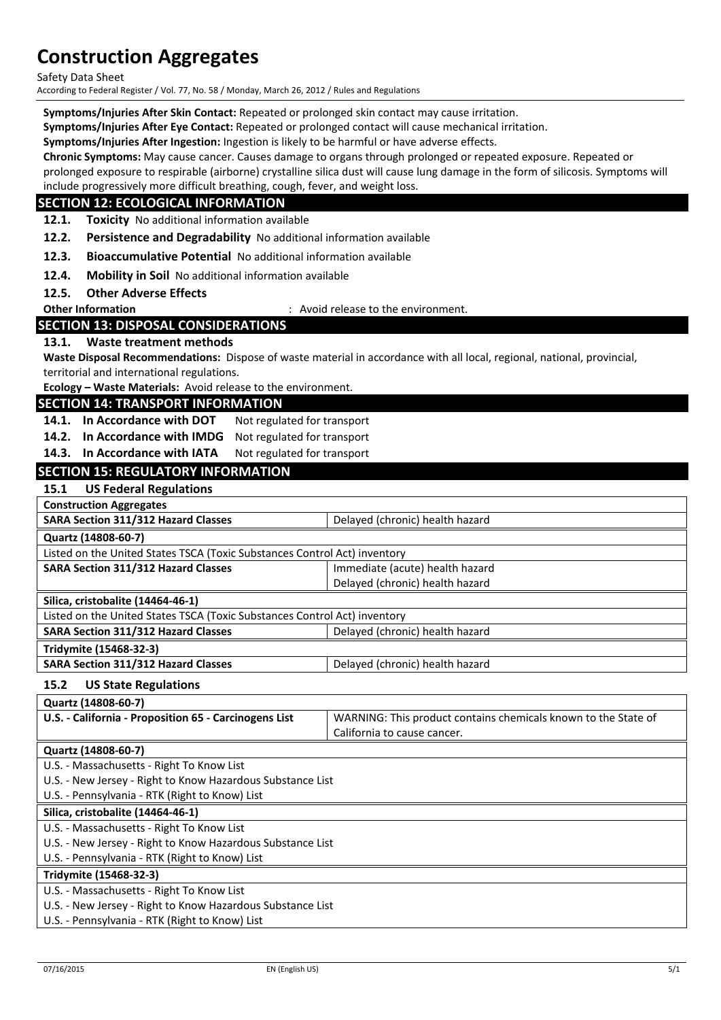Safety Data Sheet

According to Federal Register / Vol. 77, No. 58 / Monday, March 26, 2012 / Rules and Regulations

**Symptoms/Injuries After Skin Contact:** Repeated or prolonged skin contact may cause irritation.

**Symptoms/Injuries After Eye Contact:** Repeated or prolonged contact will cause mechanical irritation.

**Symptoms/Injuries After Ingestion:** Ingestion is likely to be harmful or have adverse effects.

**Chronic Symptoms:** May cause cancer. Causes damage to organs through prolonged or repeated exposure. Repeated or

prolonged exposure to respirable (airborne) crystalline silica dust will cause lung damage in the form of silicosis. Symptoms will include progressively more difficult breathing, cough, fever, and weight loss.

#### **SECTION 12: ECOLOGICAL INFORMATION**

**12.1. Toxicity** No additional information available

**12.2. Persistence and Degradability** No additional information available

**12.3. Bioaccumulative Potential** No additional information available

**12.4. Mobility in Soil** No additional information available

**12.5. Other Adverse Effects**

**Other Information COLLECT ENGLISION** : Avoid release to the environment.

### **SECTION 13: DISPOSAL CONSIDERATIONS**

#### **13.1. Waste treatment methods**

**Waste Disposal Recommendations:** Dispose of waste material in accordance with all local, regional, national, provincial, territorial and international regulations.

**Ecology – Waste Materials:** Avoid release to the environment.

#### **SECTION 14: TRANSPORT INFORMATION**

14.1. In Accordance with DOT Not regulated for transport

**14.2. In Accordance with IMDG** Not regulated for transport

14.3. In Accordance with IATA Not regulated for transport

### **SECTION 15: REGULATORY INFORMATION**

#### **15.1 US Federal Regulations**

| <b>Construction Aggregates</b>                                            |                                 |  |
|---------------------------------------------------------------------------|---------------------------------|--|
| SARA Section 311/312 Hazard Classes                                       | Delayed (chronic) health hazard |  |
| Quartz (14808-60-7)                                                       |                                 |  |
| Listed on the United States TSCA (Toxic Substances Control Act) inventory |                                 |  |
| <b>SARA Section 311/312 Hazard Classes</b>                                | Immediate (acute) health hazard |  |
|                                                                           | Delayed (chronic) health hazard |  |
| Silica, cristobalite (14464-46-1)                                         |                                 |  |
| Listed on the United States TSCA (Toxic Substances Control Act) inventory |                                 |  |
|                                                                           |                                 |  |

**SARA Section 311/312 Hazard Classes** Delayed (chronic) health hazard **Tridymite (15468-32-3)**

**SARA Section 311/312 Hazard Classes Delayed (chronic) health hazard** 

# **15.2 US State Regulations**

| Quartz (14808-60-7)                                   |                                                                |
|-------------------------------------------------------|----------------------------------------------------------------|
| U.S. - California - Proposition 65 - Carcinogens List | WARNING: This product contains chemicals known to the State of |
|                                                       | California to cause cancer.                                    |
| Quartz (14808-60-7)                                   |                                                                |

U.S. - Massachusetts - Right To Know List

U.S. - New Jersey - Right to Know Hazardous Substance List

U.S. - Pennsylvania - RTK (Right to Know) List

#### **Silica, cristobalite (14464-46-1)**

U.S. - Massachusetts - Right To Know List

U.S. - New Jersey - Right to Know Hazardous Substance List

U.S. - Pennsylvania - RTK (Right to Know) List

#### **Tridymite (15468-32-3)**

U.S. - Massachusetts - Right To Know List

U.S. - New Jersey - Right to Know Hazardous Substance List

U.S. - Pennsylvania - RTK (Right to Know) List